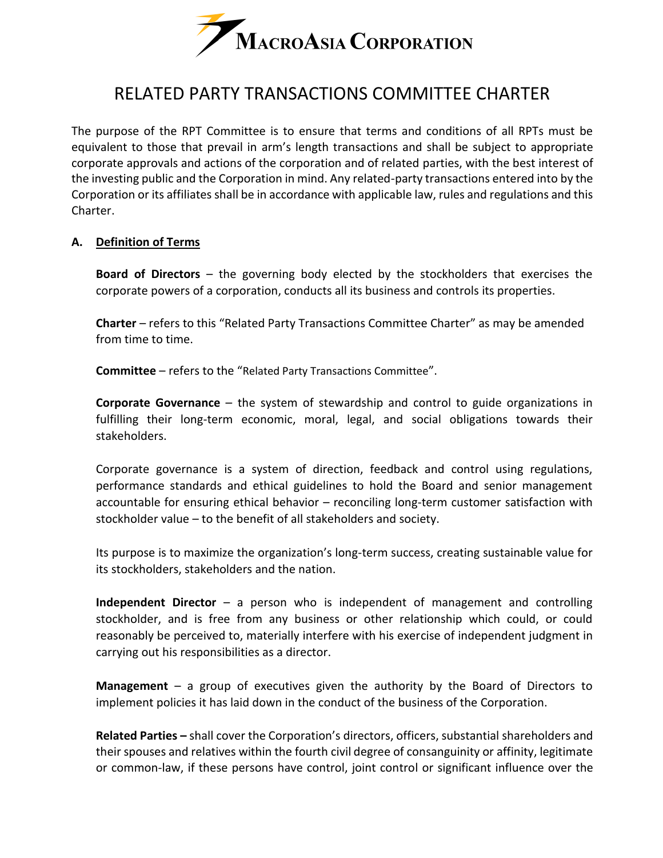

# RELATED PARTY TRANSACTIONS COMMITTEE CHARTER

The purpose of the RPT Committee is to ensure that terms and conditions of all RPTs must be equivalent to those that prevail in arm's length transactions and shall be subject to appropriate corporate approvals and actions of the corporation and of related parties, with the best interest of the investing public and the Corporation in mind. Any related-party transactions entered into by the Corporation or its affiliates shall be in accordance with applicable law, rules and regulations and this Charter.

## **A. Definition of Terms**

**Board of Directors** – the governing body elected by the stockholders that exercises the corporate powers of a corporation, conducts all its business and controls its properties.

**Charter** – refers to this "Related Party Transactions Committee Charter" as may be amended from time to time.

**Committee** – refers to the "Related Party Transactions Committee".

**Corporate Governance** – the system of stewardship and control to guide organizations in fulfilling their long-term economic, moral, legal, and social obligations towards their stakeholders.

Corporate governance is a system of direction, feedback and control using regulations, performance standards and ethical guidelines to hold the Board and senior management accountable for ensuring ethical behavior – reconciling long-term customer satisfaction with stockholder value – to the benefit of all stakeholders and society.

Its purpose is to maximize the organization's long-term success, creating sustainable value for its stockholders, stakeholders and the nation.

**Independent Director** – a person who is independent of management and controlling stockholder, and is free from any business or other relationship which could, or could reasonably be perceived to, materially interfere with his exercise of independent judgment in carrying out his responsibilities as a director.

**Management** – a group of executives given the authority by the Board of Directors to implement policies it has laid down in the conduct of the business of the Corporation.

**Related Parties –** shall cover the Corporation's directors, officers, substantial shareholders and their spouses and relatives within the fourth civil degree of consanguinity or affinity, legitimate or common-law, if these persons have control, joint control or significant influence over the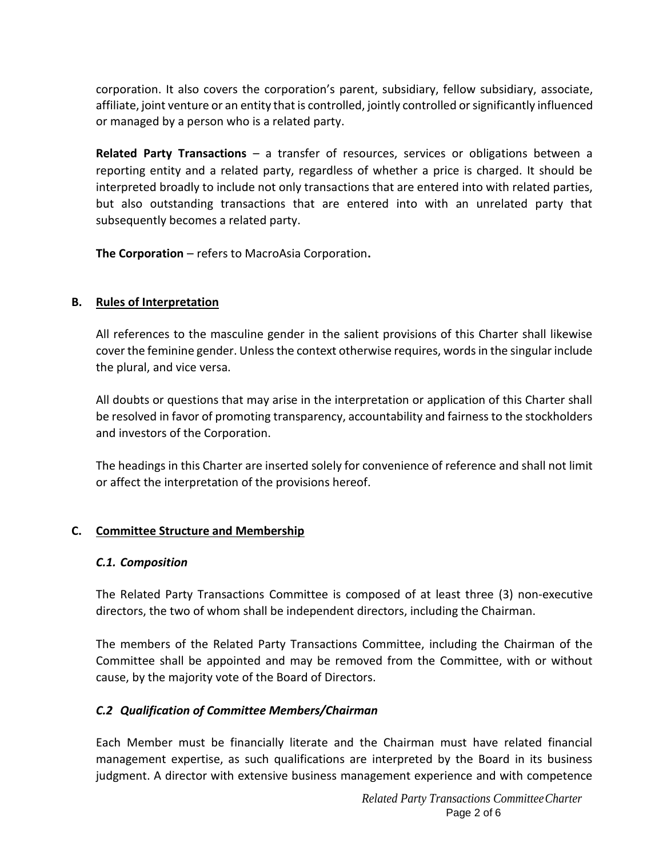corporation. It also covers the corporation's parent, subsidiary, fellow subsidiary, associate, affiliate, joint venture or an entity that is controlled, jointly controlled or significantly influenced or managed by a person who is a related party.

**Related Party Transactions** – a transfer of resources, services or obligations between a reporting entity and a related party, regardless of whether a price is charged. It should be interpreted broadly to include not only transactions that are entered into with related parties, but also outstanding transactions that are entered into with an unrelated party that subsequently becomes a related party.

**The Corporation** – refers to MacroAsia Corporation**.**

## **B. Rules of Interpretation**

All references to the masculine gender in the salient provisions of this Charter shall likewise cover the feminine gender. Unless the context otherwise requires, words in the singular include the plural, and vice versa.

All doubts or questions that may arise in the interpretation or application of this Charter shall be resolved in favor of promoting transparency, accountability and fairness to the stockholders and investors of the Corporation.

The headings in this Charter are inserted solely for convenience of reference and shall not limit or affect the interpretation of the provisions hereof.

# **C. Committee Structure and Membership**

### *C.1. Composition*

The Related Party Transactions Committee is composed of at least three (3) non-executive directors, the two of whom shall be independent directors, including the Chairman.

The members of the Related Party Transactions Committee, including the Chairman of the Committee shall be appointed and may be removed from the Committee, with or without cause, by the majority vote of the Board of Directors.

# *C.2 Qualification of Committee Members/Chairman*

Each Member must be financially literate and the Chairman must have related financial management expertise, as such qualifications are interpreted by the Board in its business judgment. A director with extensive business management experience and with competence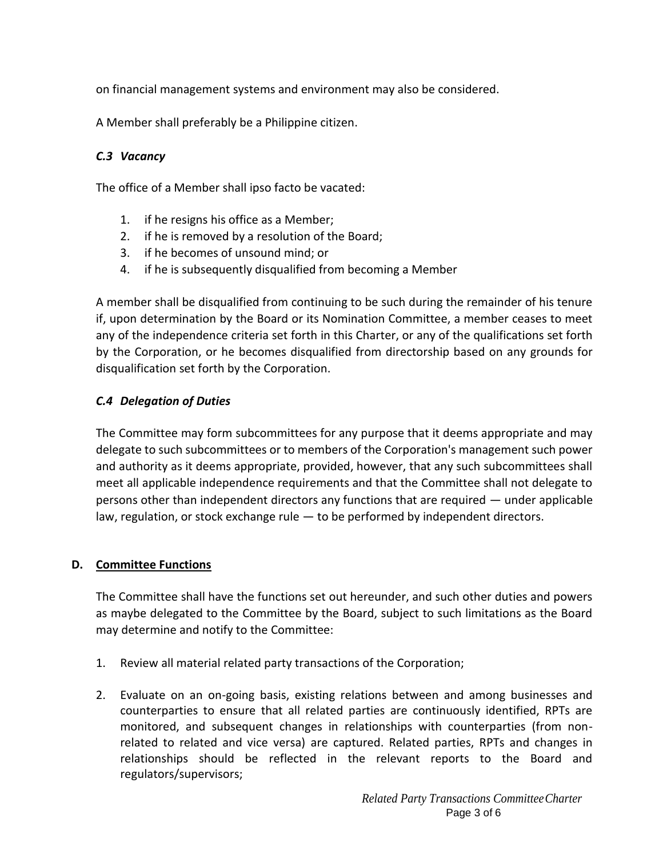on financial management systems and environment may also be considered.

A Member shall preferably be a Philippine citizen.

## *C.3 Vacancy*

The office of a Member shall ipso facto be vacated:

- 1. if he resigns his office as a Member;
- 2. if he is removed by a resolution of the Board;
- 3. if he becomes of unsound mind; or
- 4. if he is subsequently disqualified from becoming a Member

A member shall be disqualified from continuing to be such during the remainder of his tenure if, upon determination by the Board or its Nomination Committee, a member ceases to meet any of the independence criteria set forth in this Charter, or any of the qualifications set forth by the Corporation, or he becomes disqualified from directorship based on any grounds for disqualification set forth by the Corporation.

## *C.4 Delegation of Duties*

The Committee may form subcommittees for any purpose that it deems appropriate and may delegate to such subcommittees or to members of the Corporation's management such power and authority as it deems appropriate, provided, however, that any such subcommittees shall meet all applicable independence requirements and that the Committee shall not delegate to persons other than independent directors any functions that are required — under applicable law, regulation, or stock exchange rule — to be performed by independent directors.

### **D. Committee Functions**

The Committee shall have the functions set out hereunder, and such other duties and powers as maybe delegated to the Committee by the Board, subject to such limitations as the Board may determine and notify to the Committee:

- 1. Review all material related party transactions of the Corporation;
- 2. Evaluate on an on-going basis, existing relations between and among businesses and counterparties to ensure that all related parties are continuously identified, RPTs are monitored, and subsequent changes in relationships with counterparties (from nonrelated to related and vice versa) are captured. Related parties, RPTs and changes in relationships should be reflected in the relevant reports to the Board and regulators/supervisors;

*Related Party Transactions CommitteeCharter* Page 3 of 6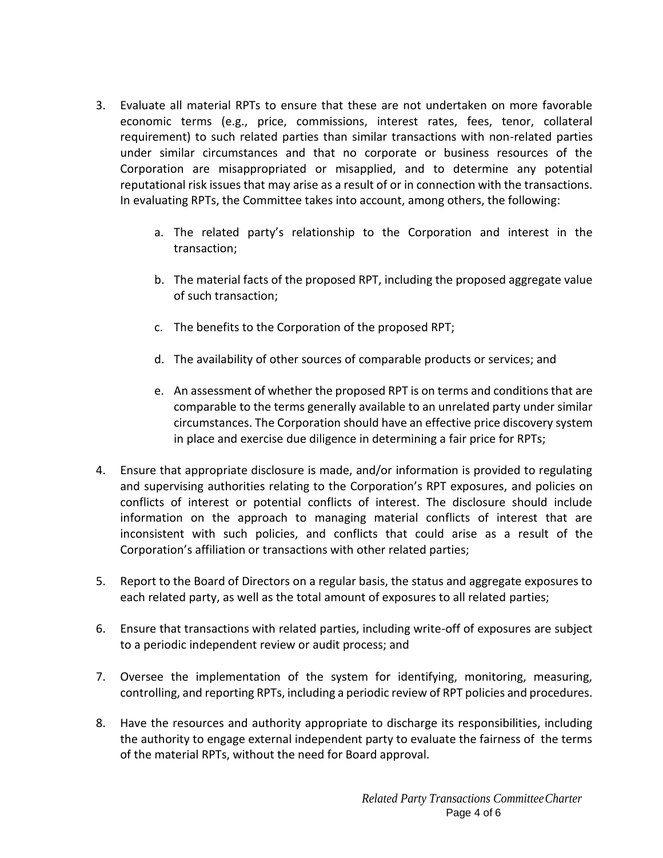- 3. Evaluate all material RPTs to ensure that these are not undertaken on more favorable economic terms (e.g., price, commissions, interest rates, fees, tenor, collateral requirement) to such related parties than similar transactions with non-related parties under similar circumstances and that no corporate or business resources of the Corporation are misappropriated or misapplied, and to determine any potential reputational risk issues that may arise as a result of or in connection with the transactions. In evaluating RPTs, the Committee takes into account, among others, the following:
	- a. The related party's relationship to the Corporation and interest in the transaction;
	- b. The material facts of the proposed RPT, including the proposed aggregate value of such transaction;
	- c. The benefits to the Corporation of the proposed RPT;
	- d. The availability of other sources of comparable products or services; and
	- e. An assessment of whether the proposed RPT is on terms and conditions that are comparable to the terms generally available to an unrelated party under similar circumstances. The Corporation should have an effective price discovery system in place and exercise due diligence in determining a fair price for RPTs;
- 4. Ensure that appropriate disclosure is made, and/or information is provided to regulating and supervising authorities relating to the Corporation's RPT exposures, and policies on conflicts of interest or potential conflicts of interest. The disclosure should include information on the approach to managing material conflicts of interest that are inconsistent with such policies, and conflicts that could arise as a result of the Corporation's affiliation or transactions with other related parties;
- 5. Report to the Board of Directors on a regular basis, the status and aggregate exposures to each related party, as well as the total amount of exposures to all related parties;
- 6. Ensure that transactions with related parties, including write-off of exposures are subject to a periodic independent review or audit process; and
- 7. Oversee the implementation of the system for identifying, monitoring, measuring, controlling, and reporting RPTs, including a periodic review of RPT policies and procedures.
- 8. Have the resources and authority appropriate to discharge its responsibilities, including the authority to engage external independent party to evaluate the fairness of the terms of the material RPTs, without the need for Board approval.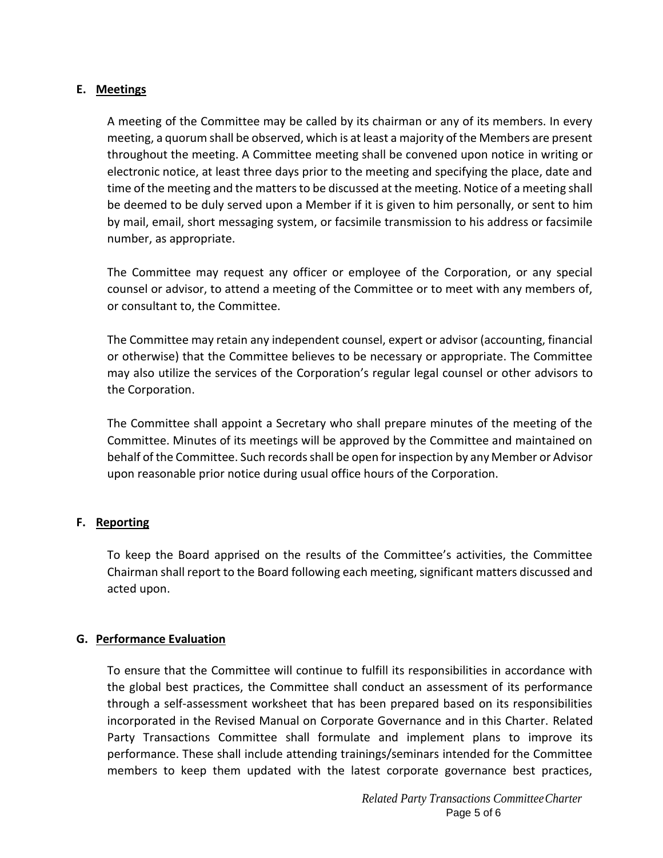## **E. Meetings**

A meeting of the Committee may be called by its chairman or any of its members. In every meeting, a quorum shall be observed, which is at least a majority of the Members are present throughout the meeting. A Committee meeting shall be convened upon notice in writing or electronic notice, at least three days prior to the meeting and specifying the place, date and time of the meeting and the matters to be discussed at the meeting. Notice of a meeting shall be deemed to be duly served upon a Member if it is given to him personally, or sent to him by mail, email, short messaging system, or facsimile transmission to his address or facsimile number, as appropriate.

The Committee may request any officer or employee of the Corporation, or any special counsel or advisor, to attend a meeting of the Committee or to meet with any members of, or consultant to, the Committee.

The Committee may retain any independent counsel, expert or advisor (accounting, financial or otherwise) that the Committee believes to be necessary or appropriate. The Committee may also utilize the services of the Corporation's regular legal counsel or other advisors to the Corporation.

The Committee shall appoint a Secretary who shall prepare minutes of the meeting of the Committee. Minutes of its meetings will be approved by the Committee and maintained on behalf of the Committee. Such records shall be open for inspection by any Member or Advisor upon reasonable prior notice during usual office hours of the Corporation.

### **F. Reporting**

To keep the Board apprised on the results of the Committee's activities, the Committee Chairman shall report to the Board following each meeting, significant matters discussed and acted upon.

### **G. Performance Evaluation**

To ensure that the Committee will continue to fulfill its responsibilities in accordance with the global best practices, the Committee shall conduct an assessment of its performance through a self‐assessment worksheet that has been prepared based on its responsibilities incorporated in the Revised Manual on Corporate Governance and in this Charter. Related Party Transactions Committee shall formulate and implement plans to improve its performance. These shall include attending trainings/seminars intended for the Committee members to keep them updated with the latest corporate governance best practices,